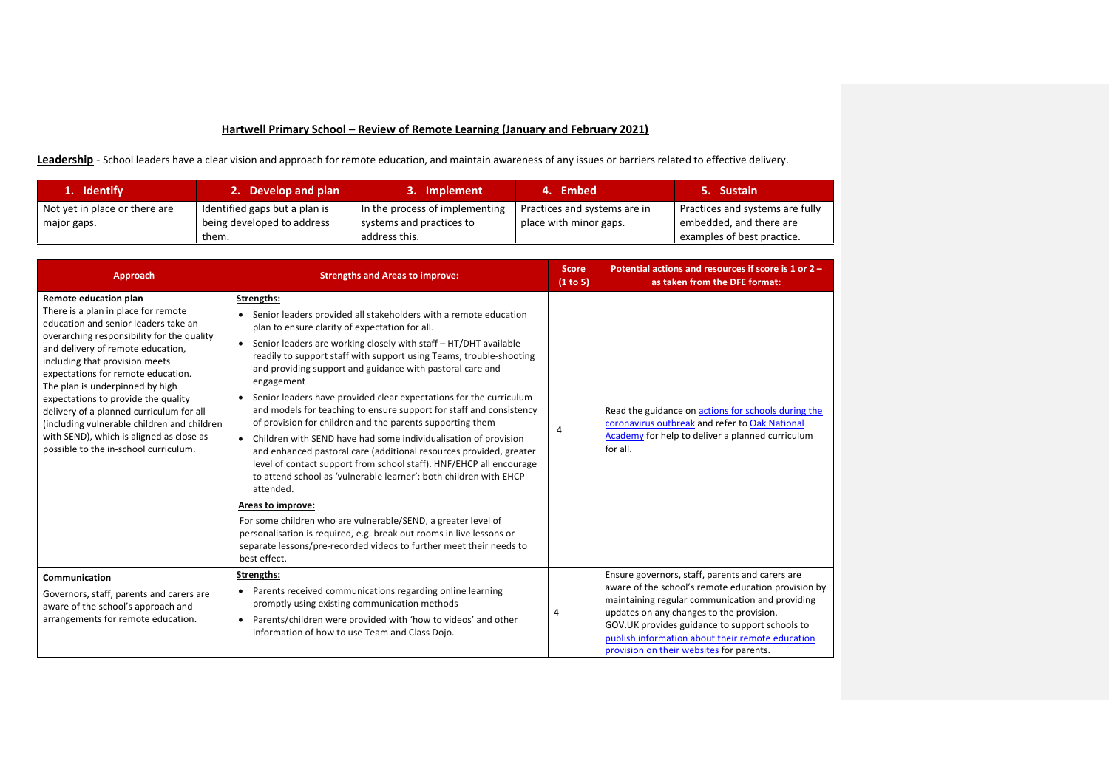## **Hartwell Primary School – Review of Remote Learning (January and February 2021)**

Leadership - School leaders have a clear vision and approach for remote education, and maintain awareness of any issues or barriers related to effective delivery.

| 1. Identify                   | 2. Develop and plan                 | 3. Implement                              | 4. Embed                     | 5. Sustain                                            |
|-------------------------------|-------------------------------------|-------------------------------------------|------------------------------|-------------------------------------------------------|
| Not yet in place or there are | Identified gaps but a plan is       | In the process of implementing            | Practices and systems are in | Practices and systems are fully                       |
| major gaps.                   | being developed to address<br>them. | systems and practices to<br>address this. | place with minor gaps.       | embedded, and there are<br>examples of best practice. |

| Approach                                                                                                                                                                                                                                                                                                                                                                                                                                                                                                                  | <b>Strengths and Areas to improve:</b>                                                                                                                                                                                                                                                                                                                                                                                                                                                                                                                                                                                                                                                                                                                                                                                                                                                                                                                                                                                                                                                                                                                 | <b>Score</b><br>(1 to 5) | Potential actions and resources if score is 1 or 2 -<br>as taken from the DFE format:                                                                                                                                                                                                                                                                   |
|---------------------------------------------------------------------------------------------------------------------------------------------------------------------------------------------------------------------------------------------------------------------------------------------------------------------------------------------------------------------------------------------------------------------------------------------------------------------------------------------------------------------------|--------------------------------------------------------------------------------------------------------------------------------------------------------------------------------------------------------------------------------------------------------------------------------------------------------------------------------------------------------------------------------------------------------------------------------------------------------------------------------------------------------------------------------------------------------------------------------------------------------------------------------------------------------------------------------------------------------------------------------------------------------------------------------------------------------------------------------------------------------------------------------------------------------------------------------------------------------------------------------------------------------------------------------------------------------------------------------------------------------------------------------------------------------|--------------------------|---------------------------------------------------------------------------------------------------------------------------------------------------------------------------------------------------------------------------------------------------------------------------------------------------------------------------------------------------------|
| Remote education plan<br>There is a plan in place for remote<br>education and senior leaders take an<br>overarching responsibility for the quality<br>and delivery of remote education,<br>including that provision meets<br>expectations for remote education.<br>The plan is underpinned by high<br>expectations to provide the quality<br>delivery of a planned curriculum for all<br>(including vulnerable children and children<br>with SEND), which is aligned as close as<br>possible to the in-school curriculum. | Strengths:<br>Senior leaders provided all stakeholders with a remote education<br>plan to ensure clarity of expectation for all.<br>Senior leaders are working closely with staff - HT/DHT available<br>$\bullet$<br>readily to support staff with support using Teams, trouble-shooting<br>and providing support and guidance with pastoral care and<br>engagement<br>Senior leaders have provided clear expectations for the curriculum<br>٠<br>and models for teaching to ensure support for staff and consistency<br>of provision for children and the parents supporting them<br>Children with SEND have had some individualisation of provision<br>$\bullet$<br>and enhanced pastoral care (additional resources provided, greater<br>level of contact support from school staff). HNF/EHCP all encourage<br>to attend school as 'vulnerable learner': both children with EHCP<br>attended.<br>Areas to improve:<br>For some children who are vulnerable/SEND, a greater level of<br>personalisation is required, e.g. break out rooms in live lessons or<br>separate lessons/pre-recorded videos to further meet their needs to<br>best effect. | 4                        | Read the guidance on actions for schools during the<br>coronavirus outbreak and refer to Oak National<br>Academy for help to deliver a planned curriculum<br>for all.                                                                                                                                                                                   |
| Communication<br>Governors, staff, parents and carers are<br>aware of the school's approach and<br>arrangements for remote education.                                                                                                                                                                                                                                                                                                                                                                                     | Strengths:<br>Parents received communications regarding online learning<br>٠<br>promptly using existing communication methods<br>Parents/children were provided with 'how to videos' and other<br>$\bullet$<br>information of how to use Team and Class Dojo.                                                                                                                                                                                                                                                                                                                                                                                                                                                                                                                                                                                                                                                                                                                                                                                                                                                                                          | 4                        | Ensure governors, staff, parents and carers are<br>aware of the school's remote education provision by<br>maintaining regular communication and providing<br>updates on any changes to the provision.<br>GOV.UK provides guidance to support schools to<br>publish information about their remote education<br>provision on their websites for parents. |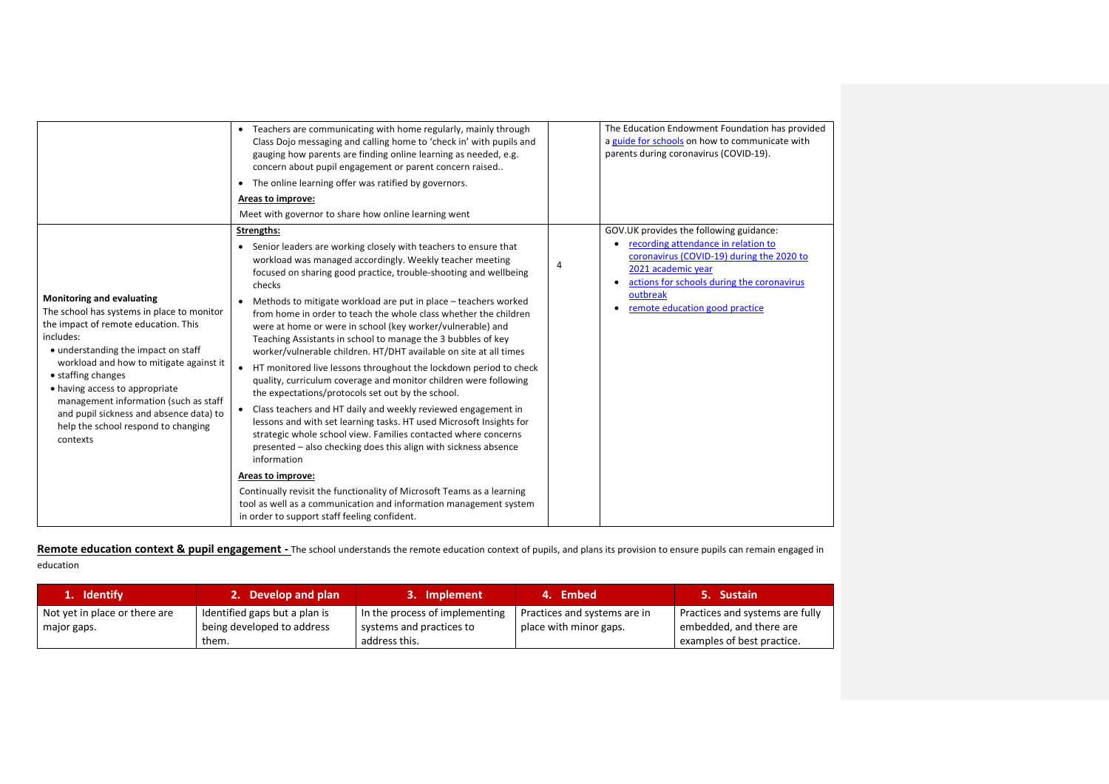|                                                                                                                                                                                                                                                                                                                                                                                                                      | • Teachers are communicating with home regularly, mainly through<br>Class Dojo messaging and calling home to 'check in' with pupils and<br>gauging how parents are finding online learning as needed, e.g.<br>concern about pupil engagement or parent concern raised<br>The online learning offer was ratified by governors.<br>$\bullet$                                                                                                                                                                                                                                                                                                                                                                                                                                                                                                                                                                                                                                                                                                                                                                                                                                                                                                                                                     | The Education Endowment Foundation has provided<br>a guide for schools on how to communicate with<br>parents during coronavirus (COVID-19).                                                                                                                                    |
|----------------------------------------------------------------------------------------------------------------------------------------------------------------------------------------------------------------------------------------------------------------------------------------------------------------------------------------------------------------------------------------------------------------------|------------------------------------------------------------------------------------------------------------------------------------------------------------------------------------------------------------------------------------------------------------------------------------------------------------------------------------------------------------------------------------------------------------------------------------------------------------------------------------------------------------------------------------------------------------------------------------------------------------------------------------------------------------------------------------------------------------------------------------------------------------------------------------------------------------------------------------------------------------------------------------------------------------------------------------------------------------------------------------------------------------------------------------------------------------------------------------------------------------------------------------------------------------------------------------------------------------------------------------------------------------------------------------------------|--------------------------------------------------------------------------------------------------------------------------------------------------------------------------------------------------------------------------------------------------------------------------------|
|                                                                                                                                                                                                                                                                                                                                                                                                                      | Areas to improve:                                                                                                                                                                                                                                                                                                                                                                                                                                                                                                                                                                                                                                                                                                                                                                                                                                                                                                                                                                                                                                                                                                                                                                                                                                                                              |                                                                                                                                                                                                                                                                                |
|                                                                                                                                                                                                                                                                                                                                                                                                                      | Meet with governor to share how online learning went                                                                                                                                                                                                                                                                                                                                                                                                                                                                                                                                                                                                                                                                                                                                                                                                                                                                                                                                                                                                                                                                                                                                                                                                                                           |                                                                                                                                                                                                                                                                                |
| <b>Monitoring and evaluating</b><br>The school has systems in place to monitor<br>the impact of remote education. This<br>includes:<br>• understanding the impact on staff<br>workload and how to mitigate against it<br>• staffing changes<br>• having access to appropriate<br>management information (such as staff<br>and pupil sickness and absence data) to<br>help the school respond to changing<br>contexts | Strengths:<br>• Senior leaders are working closely with teachers to ensure that<br>workload was managed accordingly. Weekly teacher meeting<br>focused on sharing good practice, trouble-shooting and wellbeing<br>checks<br>Methods to mitigate workload are put in place - teachers worked<br>$\bullet$<br>from home in order to teach the whole class whether the children<br>were at home or were in school (key worker/vulnerable) and<br>Teaching Assistants in school to manage the 3 bubbles of key<br>worker/vulnerable children. HT/DHT available on site at all times<br>HT monitored live lessons throughout the lockdown period to check<br>quality, curriculum coverage and monitor children were following<br>the expectations/protocols set out by the school.<br>Class teachers and HT daily and weekly reviewed engagement in<br>lessons and with set learning tasks. HT used Microsoft Insights for<br>strategic whole school view. Families contacted where concerns<br>presented - also checking does this align with sickness absence<br>information<br>Areas to improve:<br>Continually revisit the functionality of Microsoft Teams as a learning<br>tool as well as a communication and information management system<br>in order to support staff feeling confident. | GOV.UK provides the following guidance:<br>• recording attendance in relation to<br>coronavirus (COVID-19) during the 2020 to<br>$\overline{4}$<br>2021 academic year<br>actions for schools during the coronavirus<br>$\bullet$<br>outbreak<br>remote education good practice |

Remote education context & pupil engagement - The school understands the remote education context of pupils, and plans its provision to ensure pupils can remain engaged in education

| 1. Identify                   | 2. Develop and plan           | 3. Implement                   | 4. Embed                     | 5. Sustain                      |
|-------------------------------|-------------------------------|--------------------------------|------------------------------|---------------------------------|
| Not yet in place or there are | Identified gaps but a plan is | In the process of implementing | Practices and systems are in | Practices and systems are fully |
| major gaps.                   | being developed to address    | systems and practices to       | place with minor gaps.       | embedded, and there are         |
|                               | them.                         | address this.                  |                              | examples of best practice.      |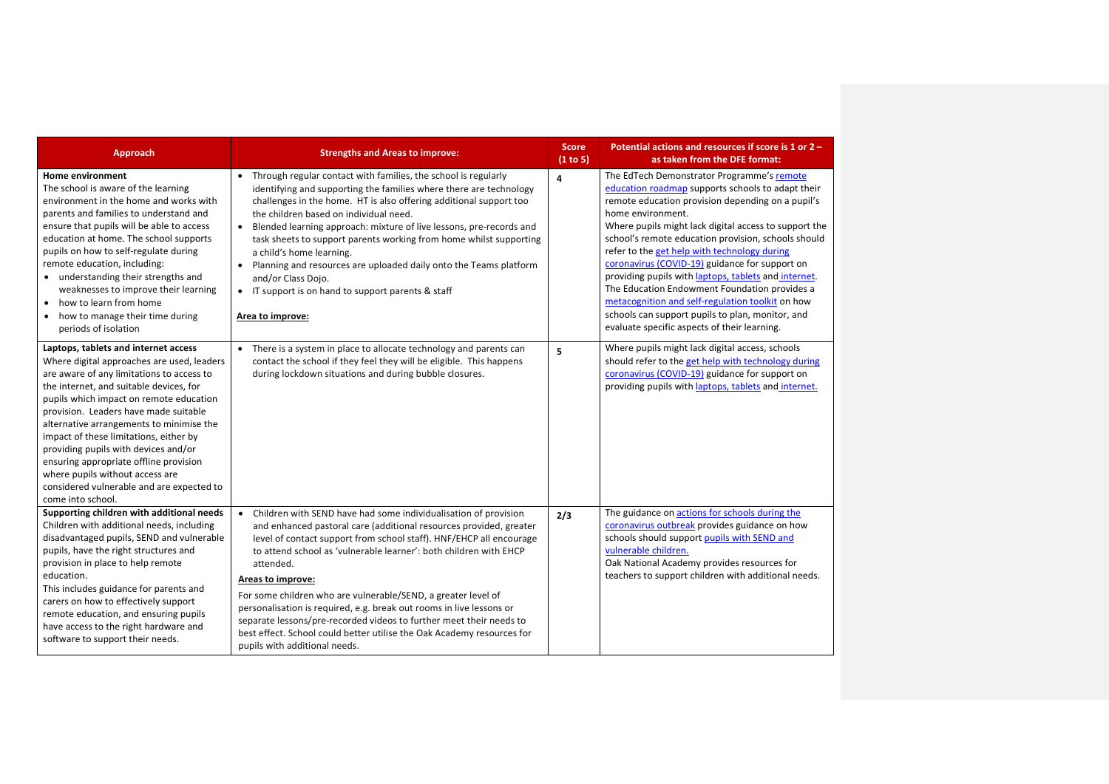| <b>Approach</b>                                                                                                                                                                                                                                                                                                                                                                                                                                                                                                                             | <b>Strengths and Areas to improve:</b>                                                                                                                                                                                                                                                                                                                                                                                                                                                                                                                                                                                                                      | <b>Score</b><br>(1 to 5) | Potential actions and resources if score is 1 or 2 -<br>as taken from the DFE format:                                                                                                                                                                                                                                                                                                                                                                                                                                                                                                                                                                        |
|---------------------------------------------------------------------------------------------------------------------------------------------------------------------------------------------------------------------------------------------------------------------------------------------------------------------------------------------------------------------------------------------------------------------------------------------------------------------------------------------------------------------------------------------|-------------------------------------------------------------------------------------------------------------------------------------------------------------------------------------------------------------------------------------------------------------------------------------------------------------------------------------------------------------------------------------------------------------------------------------------------------------------------------------------------------------------------------------------------------------------------------------------------------------------------------------------------------------|--------------------------|--------------------------------------------------------------------------------------------------------------------------------------------------------------------------------------------------------------------------------------------------------------------------------------------------------------------------------------------------------------------------------------------------------------------------------------------------------------------------------------------------------------------------------------------------------------------------------------------------------------------------------------------------------------|
| <b>Home environment</b><br>The school is aware of the learning<br>environment in the home and works with<br>parents and families to understand and<br>ensure that pupils will be able to access<br>education at home. The school supports<br>pupils on how to self-regulate during<br>remote education, including:<br>• understanding their strengths and<br>weaknesses to improve their learning<br>how to learn from home<br>$\bullet$<br>• how to manage their time during<br>periods of isolation                                       | • Through regular contact with families, the school is regularly<br>identifying and supporting the families where there are technology<br>challenges in the home. HT is also offering additional support too<br>the children based on individual need.<br>Blended learning approach: mixture of live lessons, pre-records and<br>$\bullet$<br>task sheets to support parents working from home whilst supporting<br>a child's home learning.<br>Planning and resources are uploaded daily onto the Teams platform<br>$\bullet$<br>and/or Class Dojo.<br>• IT support is on hand to support parents & staff<br>Area to improve:                              | 4                        | The EdTech Demonstrator Programme's remote<br>education roadmap supports schools to adapt their<br>remote education provision depending on a pupil's<br>home environment.<br>Where pupils might lack digital access to support the<br>school's remote education provision, schools should<br>refer to the get help with technology during<br>coronavirus (COVID-19) guidance for support on<br>providing pupils with laptops, tablets and internet.<br>The Education Endowment Foundation provides a<br>metacognition and self-regulation toolkit on how<br>schools can support pupils to plan, monitor, and<br>evaluate specific aspects of their learning. |
| Laptops, tablets and internet access<br>Where digital approaches are used, leaders<br>are aware of any limitations to access to<br>the internet, and suitable devices, for<br>pupils which impact on remote education<br>provision. Leaders have made suitable<br>alternative arrangements to minimise the<br>impact of these limitations, either by<br>providing pupils with devices and/or<br>ensuring appropriate offline provision<br>where pupils without access are<br>considered vulnerable and are expected to<br>come into school. | • There is a system in place to allocate technology and parents can<br>contact the school if they feel they will be eligible. This happens<br>during lockdown situations and during bubble closures.                                                                                                                                                                                                                                                                                                                                                                                                                                                        | 5                        | Where pupils might lack digital access, schools<br>should refer to the get help with technology during<br>coronavirus (COVID-19) guidance for support on<br>providing pupils with laptops, tablets and internet.                                                                                                                                                                                                                                                                                                                                                                                                                                             |
| Supporting children with additional needs<br>Children with additional needs, including<br>disadvantaged pupils, SEND and vulnerable<br>pupils, have the right structures and<br>provision in place to help remote<br>education.<br>This includes guidance for parents and<br>carers on how to effectively support<br>remote education, and ensuring pupils<br>have access to the right hardware and<br>software to support their needs.                                                                                                     | Children with SEND have had some individualisation of provision<br>$\bullet$<br>and enhanced pastoral care (additional resources provided, greater<br>level of contact support from school staff). HNF/EHCP all encourage<br>to attend school as 'vulnerable learner': both children with EHCP<br>attended.<br>Areas to improve:<br>For some children who are vulnerable/SEND, a greater level of<br>personalisation is required, e.g. break out rooms in live lessons or<br>separate lessons/pre-recorded videos to further meet their needs to<br>best effect. School could better utilise the Oak Academy resources for<br>pupils with additional needs. | 2/3                      | The guidance on actions for schools during the<br>coronavirus outbreak provides guidance on how<br>schools should support pupils with SEND and<br>vulnerable children.<br>Oak National Academy provides resources for<br>teachers to support children with additional needs.                                                                                                                                                                                                                                                                                                                                                                                 |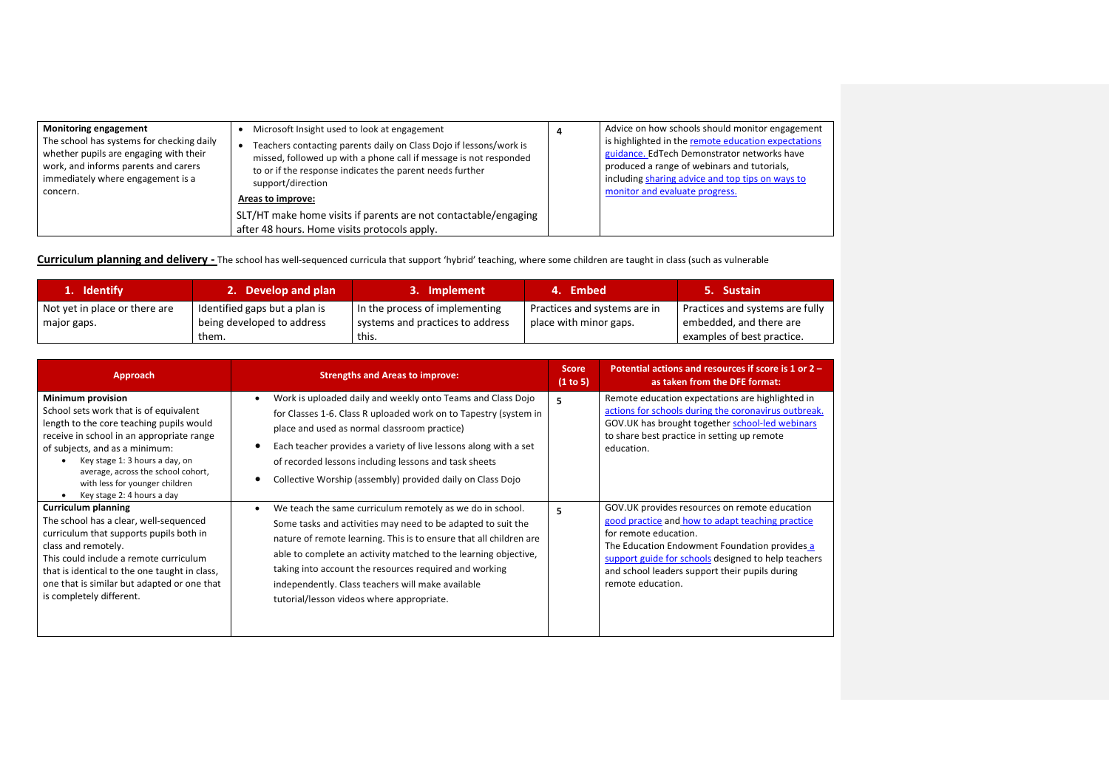| <b>Monitoring engagement</b>              | Microsoft Insight used to look at engagement                                                                    | Advice on how schools should monitor engagement     |
|-------------------------------------------|-----------------------------------------------------------------------------------------------------------------|-----------------------------------------------------|
| The school has systems for checking daily | Teachers contacting parents daily on Class Dojo if lessons/work is                                              | is highlighted in the remote education expectations |
| whether pupils are engaging with their    | missed, followed up with a phone call if message is not responded                                               | guidance. EdTech Demonstrator networks have         |
| work, and informs parents and carers      | to or if the response indicates the parent needs further                                                        | produced a range of webinars and tutorials,         |
| immediately where engagement is a         | support/direction                                                                                               | including sharing advice and top tips on ways to    |
| concern.                                  | Areas to improve:                                                                                               | monitor and evaluate progress.                      |
|                                           | SLT/HT make home visits if parents are not contactable/engaging<br>after 48 hours. Home visits protocols apply. |                                                     |

**Curriculum planning and delivery -** The school has well-sequenced curricula that support 'hybrid' teaching, where some children are taught in class (such as vulnerable

| 1. Identify                                  | 2. Develop and plan                                         | 3. Implement                                                       | 4. Embed                                               | 5. Sustain                                                 |
|----------------------------------------------|-------------------------------------------------------------|--------------------------------------------------------------------|--------------------------------------------------------|------------------------------------------------------------|
| Not yet in place or there are<br>major gaps. | Identified gaps but a plan is<br>being developed to address | In the process of implementing<br>systems and practices to address | Practices and systems are in<br>place with minor gaps. | Practices and systems are fully<br>embedded, and there are |
|                                              | them.                                                       | this.                                                              |                                                        | examples of best practice.                                 |

| Approach                                                                                                                                                                                                                                                                                                                       | <b>Strengths and Areas to improve:</b>                                                                                                                                                                                                                                                                                                                                                                                         | <b>Score</b><br>(1 to 5) | Potential actions and resources if score is 1 or 2 -<br>as taken from the DFE format:                                                                                                                                                                                                                     |
|--------------------------------------------------------------------------------------------------------------------------------------------------------------------------------------------------------------------------------------------------------------------------------------------------------------------------------|--------------------------------------------------------------------------------------------------------------------------------------------------------------------------------------------------------------------------------------------------------------------------------------------------------------------------------------------------------------------------------------------------------------------------------|--------------------------|-----------------------------------------------------------------------------------------------------------------------------------------------------------------------------------------------------------------------------------------------------------------------------------------------------------|
| Minimum provision<br>School sets work that is of equivalent<br>length to the core teaching pupils would<br>receive in school in an appropriate range<br>of subjects, and as a minimum:<br>Key stage 1: 3 hours a day, on<br>average, across the school cohort,<br>with less for younger children<br>Key stage 2: 4 hours a day | Work is uploaded daily and weekly onto Teams and Class Dojo<br>for Classes 1-6. Class R uploaded work on to Tapestry (system in<br>place and used as normal classroom practice)<br>Each teacher provides a variety of live lessons along with a set<br>of recorded lessons including lessons and task sheets<br>Collective Worship (assembly) provided daily on Class Dojo                                                     | 5.                       | Remote education expectations are highlighted in<br>actions for schools during the coronavirus outbreak.<br>GOV.UK has brought together school-led webinars<br>to share best practice in setting up remote<br>education.                                                                                  |
| <b>Curriculum planning</b><br>The school has a clear, well-sequenced<br>curriculum that supports pupils both in<br>class and remotely.<br>This could include a remote curriculum<br>that is identical to the one taught in class,<br>one that is similar but adapted or one that<br>is completely different.                   | We teach the same curriculum remotely as we do in school.<br>Some tasks and activities may need to be adapted to suit the<br>nature of remote learning. This is to ensure that all children are<br>able to complete an activity matched to the learning objective,<br>taking into account the resources required and working<br>independently. Class teachers will make available<br>tutorial/lesson videos where appropriate. | 5.                       | GOV.UK provides resources on remote education<br>good practice and how to adapt teaching practice<br>for remote education.<br>The Education Endowment Foundation provides a<br>support guide for schools designed to help teachers<br>and school leaders support their pupils during<br>remote education. |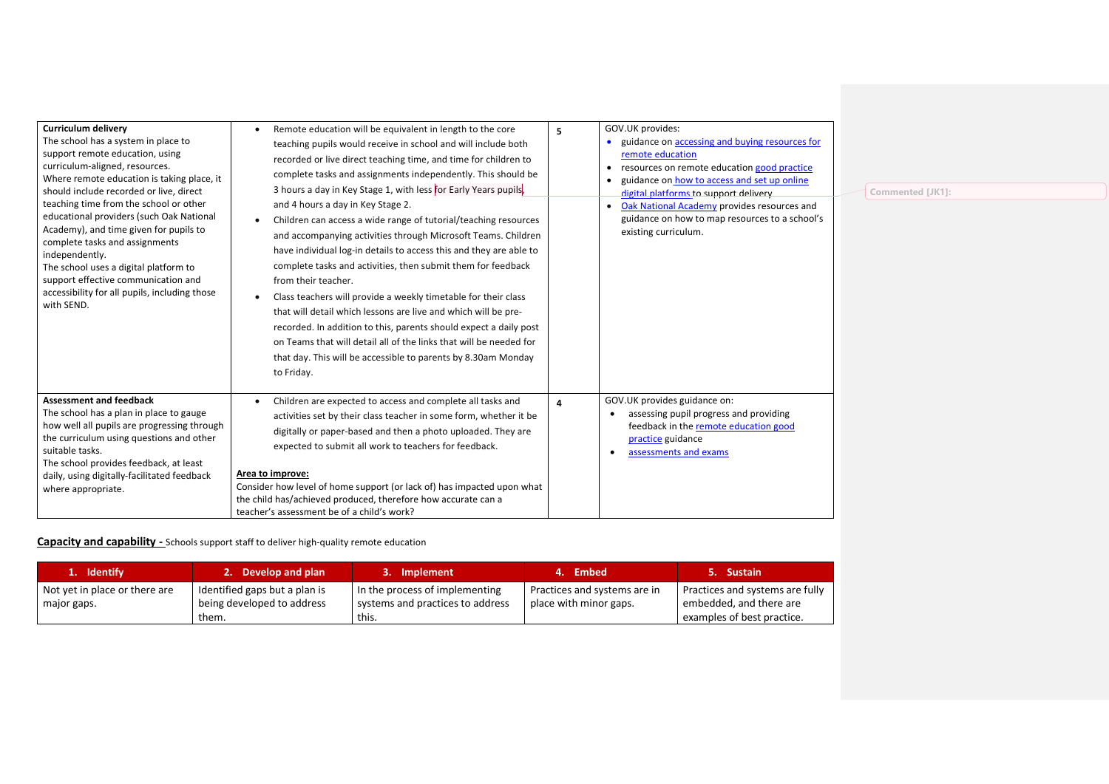| <b>Curriculum delivery</b><br>The school has a system in place to<br>support remote education, using<br>curriculum-aligned, resources.<br>Where remote education is taking place, it<br>should include recorded or live, direct<br>teaching time from the school or other<br>educational providers (such Oak National<br>Academy), and time given for pupils to<br>complete tasks and assignments<br>independently.<br>The school uses a digital platform to<br>support effective communication and<br>accessibility for all pupils, including those<br>with SEND. | Remote education will be equivalent in length to the core<br>teaching pupils would receive in school and will include both<br>recorded or live direct teaching time, and time for children to<br>complete tasks and assignments independently. This should be<br>3 hours a day in Key Stage 1, with less for Early Years pupils,<br>and 4 hours a day in Key Stage 2.<br>Children can access a wide range of tutorial/teaching resources<br>and accompanying activities through Microsoft Teams. Children<br>have individual log-in details to access this and they are able to<br>complete tasks and activities, then submit them for feedback<br>from their teacher.<br>Class teachers will provide a weekly timetable for their class<br>that will detail which lessons are live and which will be pre-<br>recorded. In addition to this, parents should expect a daily post<br>on Teams that will detail all of the links that will be needed for<br>that day. This will be accessible to parents by 8.30am Monday<br>to Friday. | 5 | GOV.UK provides:<br>guidance on accessing and buying resources for<br>remote education<br>resources on remote education good practice<br>$\bullet$<br>guidance on how to access and set up online<br>digital platforms to support delivery<br>Oak National Academy provides resources and<br>$\bullet$<br>guidance on how to map resources to a school's<br>existing curriculum. |
|--------------------------------------------------------------------------------------------------------------------------------------------------------------------------------------------------------------------------------------------------------------------------------------------------------------------------------------------------------------------------------------------------------------------------------------------------------------------------------------------------------------------------------------------------------------------|--------------------------------------------------------------------------------------------------------------------------------------------------------------------------------------------------------------------------------------------------------------------------------------------------------------------------------------------------------------------------------------------------------------------------------------------------------------------------------------------------------------------------------------------------------------------------------------------------------------------------------------------------------------------------------------------------------------------------------------------------------------------------------------------------------------------------------------------------------------------------------------------------------------------------------------------------------------------------------------------------------------------------------------|---|----------------------------------------------------------------------------------------------------------------------------------------------------------------------------------------------------------------------------------------------------------------------------------------------------------------------------------------------------------------------------------|
| <b>Assessment and feedback</b><br>The school has a plan in place to gauge<br>how well all pupils are progressing through<br>the curriculum using questions and other<br>suitable tasks.<br>The school provides feedback, at least<br>daily, using digitally-facilitated feedback<br>where appropriate.                                                                                                                                                                                                                                                             | Children are expected to access and complete all tasks and<br>$\bullet$<br>activities set by their class teacher in some form, whether it be<br>digitally or paper-based and then a photo uploaded. They are<br>expected to submit all work to teachers for feedback.<br>Area to improve:<br>Consider how level of home support (or lack of) has impacted upon what<br>the child has/achieved produced, therefore how accurate can a<br>teacher's assessment be of a child's work?                                                                                                                                                                                                                                                                                                                                                                                                                                                                                                                                                   | 4 | GOV.UK provides guidance on:<br>assessing pupil progress and providing<br>feedback in the remote education good<br>practice guidance<br>assessments and exams                                                                                                                                                                                                                    |

**Commented [JK1]:** 

**Capacity and capability -** Schools support staff to deliver high-quality remote education

| 1. Identify                                  | 2. Develop and plan                                                  | 3. Implement                                                                | 4. Embed                                               | 5. Sustain                                                                               |
|----------------------------------------------|----------------------------------------------------------------------|-----------------------------------------------------------------------------|--------------------------------------------------------|------------------------------------------------------------------------------------------|
| Not yet in place or there are<br>major gaps. | Identified gaps but a plan is<br>being developed to address<br>them. | In the process of implementing<br>systems and practices to address<br>this. | Practices and systems are in<br>place with minor gaps. | Practices and systems are fully<br>embedded, and there are<br>examples of best practice. |